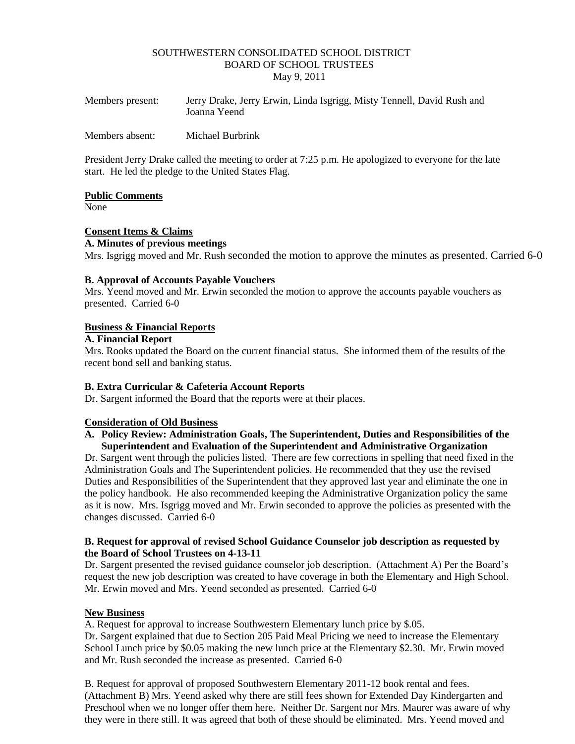#### SOUTHWESTERN CONSOLIDATED SCHOOL DISTRICT BOARD OF SCHOOL TRUSTEES May 9, 2011

| Members present: | Jerry Drake, Jerry Erwin, Linda Isgrigg, Misty Tennell, David Rush and<br>Joanna Yeend |
|------------------|----------------------------------------------------------------------------------------|
| Members absent:  | Michael Burbrink                                                                       |

President Jerry Drake called the meeting to order at 7:25 p.m. He apologized to everyone for the late start. He led the pledge to the United States Flag.

#### **Public Comments**

None

## **Consent Items & Claims**

**A. Minutes of previous meetings** Mrs. Isgrigg moved and Mr. Rush seconded the motion to approve the minutes as presented. Carried 6-0

## **B. Approval of Accounts Payable Vouchers**

Mrs. Yeend moved and Mr. Erwin seconded the motion to approve the accounts payable vouchers as presented. Carried 6-0

### **Business & Financial Reports**

**A. Financial Report**

Mrs. Rooks updated the Board on the current financial status. She informed them of the results of the recent bond sell and banking status.

### **B. Extra Curricular & Cafeteria Account Reports**

Dr. Sargent informed the Board that the reports were at their places.

### **Consideration of Old Business**

## **A. Policy Review: Administration Goals, The Superintendent, Duties and Responsibilities of the Superintendent and Evaluation of the Superintendent and Administrative Organization**

Dr. Sargent went through the policies listed. There are few corrections in spelling that need fixed in the Administration Goals and The Superintendent policies. He recommended that they use the revised Duties and Responsibilities of the Superintendent that they approved last year and eliminate the one in the policy handbook. He also recommended keeping the Administrative Organization policy the same as it is now. Mrs. Isgrigg moved and Mr. Erwin seconded to approve the policies as presented with the changes discussed. Carried 6-0

#### **B. Request for approval of revised School Guidance Counselor job description as requested by the Board of School Trustees on 4-13-11**

Dr. Sargent presented the revised guidance counselor job description. (Attachment A) Per the Board's request the new job description was created to have coverage in both the Elementary and High School. Mr. Erwin moved and Mrs. Yeend seconded as presented. Carried 6-0

### **New Business**

A. Request for approval to increase Southwestern Elementary lunch price by \$.05.

Dr. Sargent explained that due to Section 205 Paid Meal Pricing we need to increase the Elementary School Lunch price by \$0.05 making the new lunch price at the Elementary \$2.30. Mr. Erwin moved and Mr. Rush seconded the increase as presented. Carried 6-0

B. Request for approval of proposed Southwestern Elementary 2011-12 book rental and fees. (Attachment B) Mrs. Yeend asked why there are still fees shown for Extended Day Kindergarten and Preschool when we no longer offer them here. Neither Dr. Sargent nor Mrs. Maurer was aware of why they were in there still. It was agreed that both of these should be eliminated. Mrs. Yeend moved and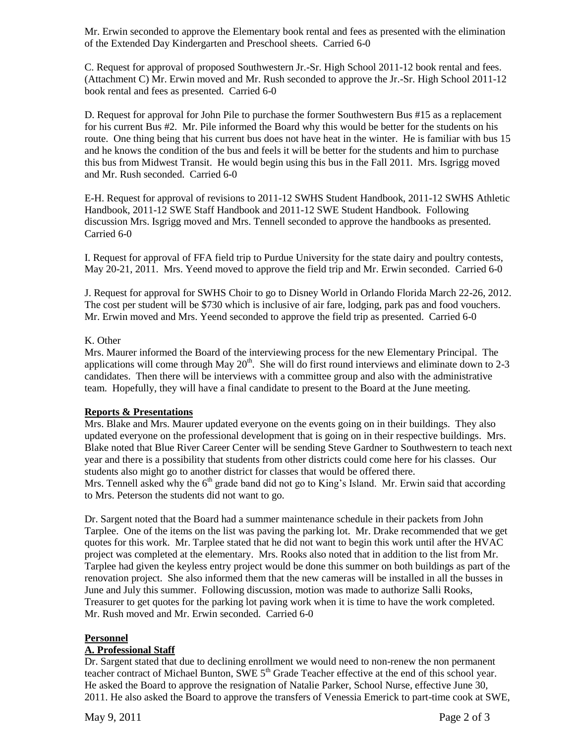Mr. Erwin seconded to approve the Elementary book rental and fees as presented with the elimination of the Extended Day Kindergarten and Preschool sheets. Carried 6-0

C. Request for approval of proposed Southwestern Jr.-Sr. High School 2011-12 book rental and fees. (Attachment C) Mr. Erwin moved and Mr. Rush seconded to approve the Jr.-Sr. High School 2011-12 book rental and fees as presented. Carried 6-0

D. Request for approval for John Pile to purchase the former Southwestern Bus #15 as a replacement for his current Bus #2. Mr. Pile informed the Board why this would be better for the students on his route. One thing being that his current bus does not have heat in the winter. He is familiar with bus 15 and he knows the condition of the bus and feels it will be better for the students and him to purchase this bus from Midwest Transit. He would begin using this bus in the Fall 2011. Mrs. Isgrigg moved and Mr. Rush seconded. Carried 6-0

E-H. Request for approval of revisions to 2011-12 SWHS Student Handbook, 2011-12 SWHS Athletic Handbook, 2011-12 SWE Staff Handbook and 2011-12 SWE Student Handbook. Following discussion Mrs. Isgrigg moved and Mrs. Tennell seconded to approve the handbooks as presented. Carried 6-0

I. Request for approval of FFA field trip to Purdue University for the state dairy and poultry contests, May 20-21, 2011. Mrs. Yeend moved to approve the field trip and Mr. Erwin seconded. Carried 6-0

J. Request for approval for SWHS Choir to go to Disney World in Orlando Florida March 22-26, 2012. The cost per student will be \$730 which is inclusive of air fare, lodging, park pas and food vouchers. Mr. Erwin moved and Mrs. Yeend seconded to approve the field trip as presented. Carried 6-0

## K. Other

Mrs. Maurer informed the Board of the interviewing process for the new Elementary Principal. The applications will come through May  $20<sup>th</sup>$ . She will do first round interviews and eliminate down to 2-3 candidates. Then there will be interviews with a committee group and also with the administrative team. Hopefully, they will have a final candidate to present to the Board at the June meeting.

### **Reports & Presentations**

Mrs. Blake and Mrs. Maurer updated everyone on the events going on in their buildings. They also updated everyone on the professional development that is going on in their respective buildings. Mrs. Blake noted that Blue River Career Center will be sending Steve Gardner to Southwestern to teach next year and there is a possibility that students from other districts could come here for his classes. Our students also might go to another district for classes that would be offered there. Mrs. Tennell asked why the  $6<sup>th</sup>$  grade band did not go to King's Island. Mr. Erwin said that according to Mrs. Peterson the students did not want to go.

Dr. Sargent noted that the Board had a summer maintenance schedule in their packets from John Tarplee. One of the items on the list was paving the parking lot. Mr. Drake recommended that we get quotes for this work. Mr. Tarplee stated that he did not want to begin this work until after the HVAC project was completed at the elementary. Mrs. Rooks also noted that in addition to the list from Mr. Tarplee had given the keyless entry project would be done this summer on both buildings as part of the renovation project. She also informed them that the new cameras will be installed in all the busses in June and July this summer. Following discussion, motion was made to authorize Salli Rooks, Treasurer to get quotes for the parking lot paving work when it is time to have the work completed. Mr. Rush moved and Mr. Erwin seconded. Carried 6-0

### **Personnel**

# **A. Professional Staff**

Dr. Sargent stated that due to declining enrollment we would need to non-renew the non permanent teacher contract of Michael Bunton, SWE  $5<sup>th</sup>$  Grade Teacher effective at the end of this school year. He asked the Board to approve the resignation of Natalie Parker, School Nurse, effective June 30, 2011. He also asked the Board to approve the transfers of Venessia Emerick to part-time cook at SWE,